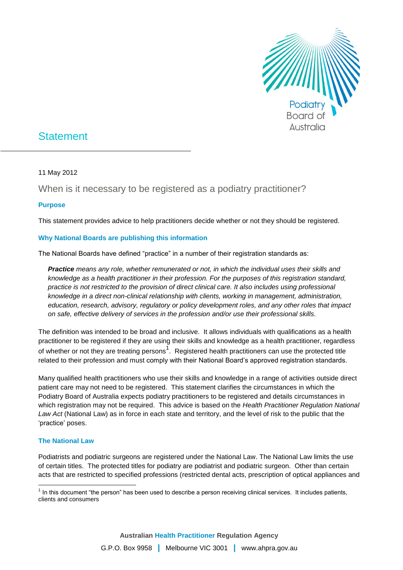

# **Statement**

11 May 2012

When is it necessary to be registered as a podiatry practitioner?

## **Purpose**

This statement provides advice to help practitioners decide whether or not they should be registered.

## **Why National Boards are publishing this information**

The National Boards have defined "practice" in a number of their registration standards as:

*Practice means any role, whether remunerated or not, in which the individual uses their skills and knowledge as a health practitioner in their profession. For the purposes of this registration standard, practice is not restricted to the provision of direct clinical care. It also includes using professional knowledge in a direct non-clinical relationship with clients, working in management, administration, education, research, advisory, regulatory or policy development roles, and any other roles that impact on safe, effective delivery of services in the profession and/or use their professional skills.* 

The definition was intended to be broad and inclusive. It allows individuals with qualifications as a health practitioner to be registered if they are using their skills and knowledge as a health practitioner, regardless of whether or not they are treating persons<sup>1</sup>. Registered health practitioners can use the protected title related to their profession and must comply with their National Board's approved registration standards.

Many qualified health practitioners who use their skills and knowledge in a range of activities outside direct patient care may not need to be registered. This statement clarifies the circumstances in which the Podiatry Board of Australia expects podiatry practitioners to be registered and details circumstances in which registration may not be required. This advice is based on the *Health Practitioner Regulation National Law Act* (National Law) as in force in each state and territory, and the level of risk to the public that the 'practice' poses.

### **The National Law**

Podiatrists and podiatric surgeons are registered under the National Law. The National Law limits the use of certain titles. The protected titles for podiatry are podiatrist and podiatric surgeon. Other than certain acts that are restricted to specified professions (restricted dental acts, prescription of optical appliances and

This document "the person" has been used to describe a person receiving clinical services. It includes patients,<br>This document "the person" has been used to describe a person receiving clinical services. It includes patien clients and consumers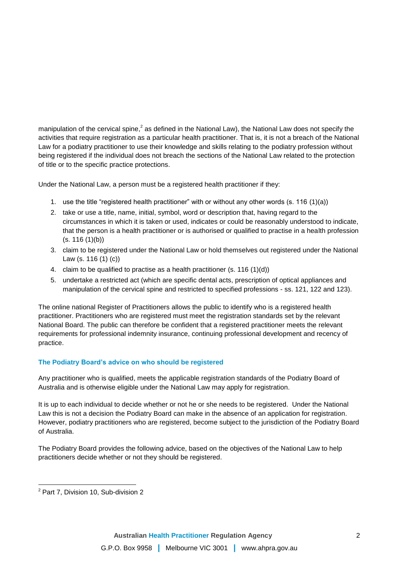manipulation of the cervical spine,<sup>2</sup> as defined in the National Law), the National Law does not specify the activities that require registration as a particular health practitioner. That is, it is not a breach of the National Law for a podiatry practitioner to use their knowledge and skills relating to the podiatry profession without being registered if the individual does not breach the sections of the National Law related to the protection of title or to the specific practice protections.

Under the National Law, a person must be a registered health practitioner if they:

- 1. use the title "registered health practitioner" with or without any other words (s. 116 (1)(a))
- 2. take or use a title, name, initial, symbol, word or description that, having regard to the circumstances in which it is taken or used, indicates or could be reasonably understood to indicate, that the person is a health practitioner or is authorised or qualified to practise in a health profession  $(s. 116 (1)(b))$
- 3. claim to be registered under the National Law or hold themselves out registered under the National Law (s. 116 (1) (c))
- 4. claim to be qualified to practise as a health practitioner (s. 116 (1)(d))
- 5. undertake a restricted act (which are specific dental acts, prescription of optical appliances and manipulation of the cervical spine and restricted to specified professions - ss. 121, 122 and 123).

The online national Register of Practitioners allows the public to identify who is a registered health practitioner. Practitioners who are registered must meet the registration standards set by the relevant National Board. The public can therefore be confident that a registered practitioner meets the relevant requirements for professional indemnity insurance, continuing professional development and recency of practice.

## **The Podiatry Board's advice on who should be registered**

Any practitioner who is qualified, meets the applicable registration standards of the Podiatry Board of Australia and is otherwise eligible under the National Law may apply for registration.

It is up to each individual to decide whether or not he or she needs to be registered. Under the National Law this is not a decision the Podiatry Board can make in the absence of an application for registration. However, podiatry practitioners who are registered, become subject to the jurisdiction of the Podiatry Board of Australia.

The Podiatry Board provides the following advice, based on the objectives of the National Law to help practitioners decide whether or not they should be registered.

 $\overline{a}$ <sup>2</sup> Part 7, Division 10, Sub-division 2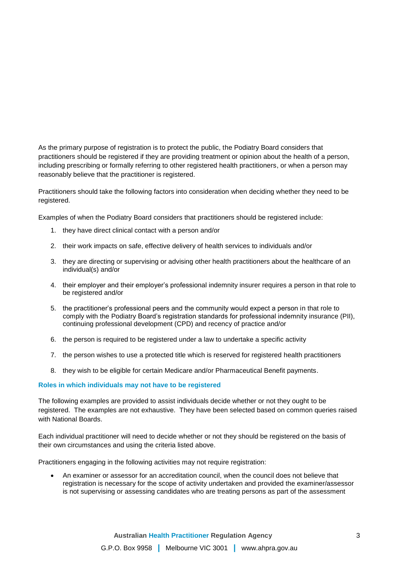As the primary purpose of registration is to protect the public, the Podiatry Board considers that practitioners should be registered if they are providing treatment or opinion about the health of a person, including prescribing or formally referring to other registered health practitioners, or when a person may reasonably believe that the practitioner is registered.

Practitioners should take the following factors into consideration when deciding whether they need to be registered.

Examples of when the Podiatry Board considers that practitioners should be registered include:

- 1. they have direct clinical contact with a person and/or
- 2. their work impacts on safe, effective delivery of health services to individuals and/or
- 3. they are directing or supervising or advising other health practitioners about the healthcare of an individual(s) and/or
- 4. their employer and their employer's professional indemnity insurer requires a person in that role to be registered and/or
- 5. the practitioner's professional peers and the community would expect a person in that role to comply with the Podiatry Board's registration standards for professional indemnity insurance (PII), continuing professional development (CPD) and recency of practice and/or
- 6. the person is required to be registered under a law to undertake a specific activity
- 7. the person wishes to use a protected title which is reserved for registered health practitioners
- 8. they wish to be eligible for certain Medicare and/or Pharmaceutical Benefit payments.

#### **Roles in which individuals may not have to be registered**

The following examples are provided to assist individuals decide whether or not they ought to be registered. The examples are not exhaustive. They have been selected based on common queries raised with National Boards.

Each individual practitioner will need to decide whether or not they should be registered on the basis of their own circumstances and using the criteria listed above.

Practitioners engaging in the following activities may not require registration:

 An examiner or assessor for an accreditation council, when the council does not believe that registration is necessary for the scope of activity undertaken and provided the examiner/assessor is not supervising or assessing candidates who are treating persons as part of the assessment